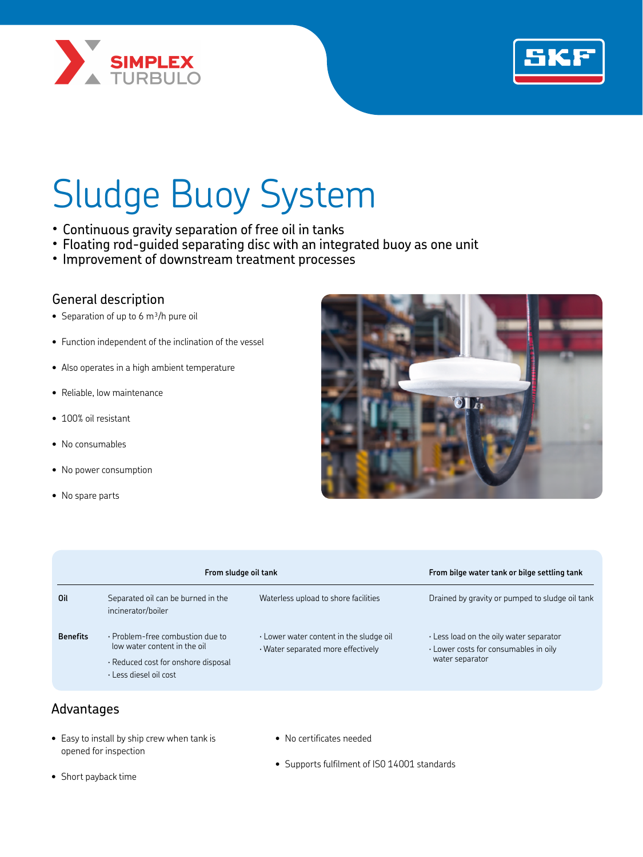



# Sludge Buoy System

- · Continuous gravity separation of free oil in tanks
- · Floating rod-guided separating disc with an integrated buoy as one unit
- · Improvement of downstream treatment processes

#### General description

- Separation of up to 6  $m^3/h$  pure oil
- Function independent of the inclination of the vessel
- Also operates in a high ambient temperature
- Reliable, low maintenance
- 100% oil resistant
- No consumables
- No power consumption
- No spare parts



|                 | From sludge oil tank                                                                                                                        |                                                                                           | From bilge water tank or bilge settling tank                                                                    |
|-----------------|---------------------------------------------------------------------------------------------------------------------------------------------|-------------------------------------------------------------------------------------------|-----------------------------------------------------------------------------------------------------------------|
| Oil             | Separated oil can be burned in the<br>incinerator/boiler                                                                                    | Waterless upload to shore facilities                                                      | Drained by gravity or pumped to sludge oil tank                                                                 |
| <b>Benefits</b> | $\cdot$ Problem-free combustion due to<br>low water content in the oil<br>Reduced cost for onshore disposal<br>$\cdot$ Less diesel oil cost | $\cdot$ Lower water content in the sludge oil<br>$\cdot$ Water separated more effectively | $\cdot$ Less load on the oily water separator<br>$\cdot$ Lower costs for consumables in oily<br>water separator |

## Advantages

- Easy to install by ship crew when tank is opened for inspection
- No certificates needed
- Supports fulfilment of IS0 14001 standards

• Short payback time